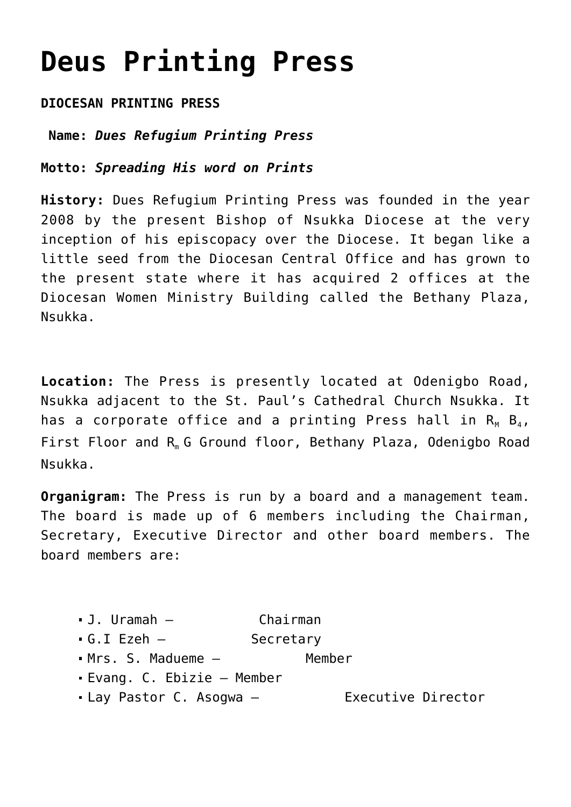## **[Deus Printing Press](https://adonsk.com/deus-press/)**

## **DIOCESAN PRINTING PRESS**

**Name:** *Dues Refugium Printing Press*

**Motto:** *Spreading His word on Prints*

**History:** Dues Refugium Printing Press was founded in the year 2008 by the present Bishop of Nsukka Diocese at the very inception of his episcopacy over the Diocese. It began like a little seed from the Diocesan Central Office and has grown to the present state where it has acquired 2 offices at the Diocesan Women Ministry Building called the Bethany Plaza, Nsukka.

**Location:** The Press is presently located at Odenigbo Road, Nsukka adjacent to the St. Paul's Cathedral Church Nsukka. It has a corporate office and a printing Press hall in  $R_M$   $B_4$ , First Floor and R<sub>m</sub> G Ground floor, Bethany Plaza, Odenigbo Road Nsukka.

**Organigram:** The Press is run by a board and a management team. The board is made up of 6 members including the Chairman, Secretary, Executive Director and other board members. The board members are:

- J. Uramah Chairman
- G.I Ezeh Secretary
- Mrs. S. Madueme Member
- Evang. C. Ebizie Member
- Lay Pastor C. Asogwa Executive Director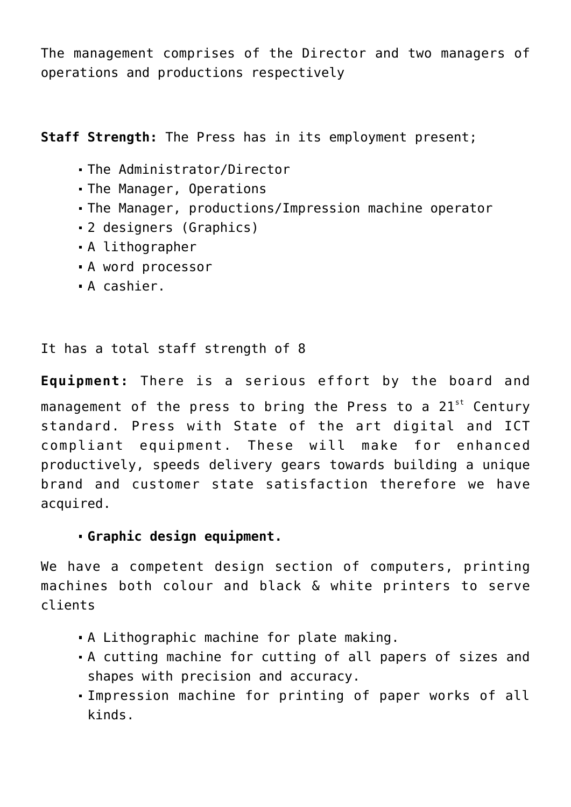The management comprises of the Director and two managers of operations and productions respectively

**Staff Strength:** The Press has in its employment present;

- The Administrator/Director
- The Manager, Operations
- The Manager, productions/Impression machine operator
- 2 designers (Graphics)
- A lithographer
- A word processor
- A cashier.

## It has a total staff strength of 8

**Equipment:** There is a serious effort by the board and management of the press to bring the Press to a  $21^{st}$  Century standard. Press with State of the art digital and ICT compliant equipment. These will make for enhanced productively, speeds delivery gears towards building a unique brand and customer state satisfaction therefore we have acquired.

## **Graphic design equipment.**

We have a competent design section of computers, printing machines both colour and black & white printers to serve clients

- A Lithographic machine for plate making.
- A cutting machine for cutting of all papers of sizes and shapes with precision and accuracy.
- Impression machine for printing of paper works of all kinds.